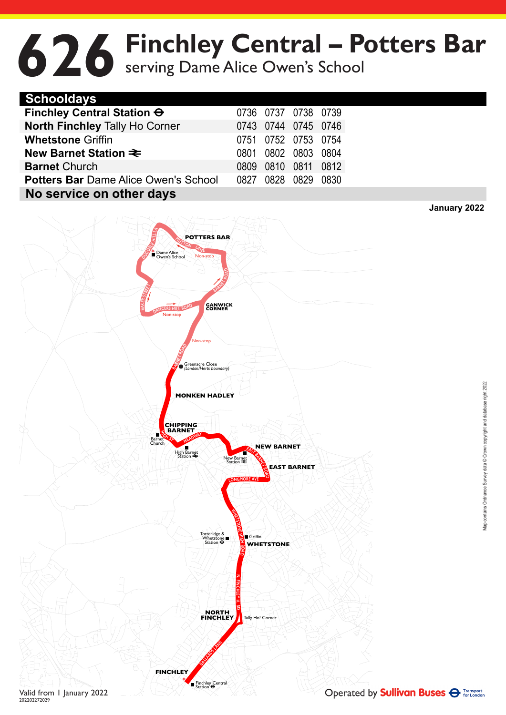## **626** Finchley Central – Potters Bar<br>
Serving Dame Alice Owen's School serving Dame Alice Owen's School

| <b>Schooldays</b>                           |      |                     |           |      |
|---------------------------------------------|------|---------------------|-----------|------|
| Finchley Central Station O                  |      | 0736 0737 0738 0739 |           |      |
| <b>North Finchley Tally Ho Corner</b>       |      | 0743 0744 0745 0746 |           |      |
| <b>Whetstone Griffin</b>                    |      | 0751 0752 0753 0754 |           |      |
| New Barnet Station $\equiv$                 | 0801 |                     | 0802 0803 | 0804 |
| <b>Barnet Church</b>                        | 0809 | 0810                | 0811      | 0812 |
| <b>Potters Bar Dame Alice Owen's School</b> | 0827 |                     | 0828 0829 | 0830 |
| No service on other days                    |      |                     |           |      |



**January 2022**